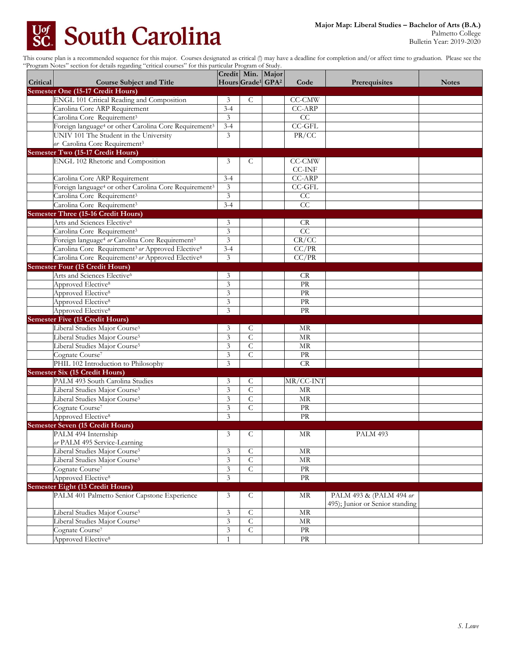## **South Carolina** Uof<br>SC

Palmetto College Bulletin Year: 2019-2020

This course plan is a recommended sequence for this major. Courses designated as critical (!) may have a deadline for completion and/or affect time to graduation. Please see the "Program Notes" section for details regarding "critical courses" for this particular Program of Study.

| Hours Grade <sup>1</sup> GPA <sup>2</sup><br><b>Critical</b><br><b>Course Subject and Title</b><br>Code<br>Prerequisites<br><b>Notes</b><br>Semester One (15-17 Credit Hours)<br>ENGL 101 Critical Reading and Composition<br>3<br>C<br>CC-CMW<br>CC-ARP<br>Carolina Core ARP Requirement<br>$3 - 4$<br>3<br>CC<br>Carolina Core Requirement <sup>3</sup><br>Foreign language <sup>4</sup> or other Carolina Core Requirement <sup>3</sup><br>$3 - 4$<br><b>CC-GFL</b><br>PR/CC<br>UNIV 101 The Student in the University<br>3<br>or Carolina Core Requirement <sup>3</sup><br>Semester Two (15-17 Credit Hours)<br>ENGL 102 Rhetoric and Composition<br>3<br>CC-CMW<br>C<br><b>CC-INF</b><br>CC-ARP<br>Carolina Core ARP Requirement<br>$3 - 4$<br>Foreign language <sup>4</sup> or other Carolina Core Requirement <sup>3</sup><br>3<br>$CC-GFL$<br>Carolina Core Requirement <sup>3</sup><br>$\mathfrak{Z}$<br>CC<br>CC<br>Carolina Core Requirement <sup>3</sup><br>$3 - 4$<br><b>Semester Three (15-16 Credit Hours)</b><br>Arts and Sciences Elective <sup>6</sup><br>3<br>CR.<br>CC<br>3<br>Carolina Core Requirement <sup>3</sup><br>$\overline{3}$<br>CR/CC<br>Foreign language <sup>4</sup> or Carolina Core Requirement <sup>3</sup><br>CC/PR<br>Carolina Core Requirement <sup>3</sup> or Approved Elective <sup>8</sup><br>$3 - 4$<br>CC/PR<br>Carolina Core Requirement <sup>3</sup> or Approved Elective <sup>8</sup><br>3<br><b>Semester Four (15 Credit Hours)</b><br>Arts and Sciences Elective <sup>6</sup><br>3<br><b>CR</b><br>3<br>Approved Elective <sup>8</sup><br><b>PR</b><br>Approved Elective <sup>8</sup><br>3<br>PR<br>PR<br>Approved Elective <sup>8</sup><br>3<br>3<br>PR<br>Approved Elective <sup>8</sup><br><b>Semester Five (15 Credit Hours)</b><br>Liberal Studies Major Course <sup>5</sup><br>3<br>MR<br>С<br>3<br>Liberal Studies Major Course <sup>5</sup><br>C<br>MR<br>3<br>$\mathcal{C}$<br>Liberal Studies Major Course <sup>5</sup><br>MR<br>$\mathsf{C}$<br>3<br>PR<br>Cognate Course <sup>7</sup><br>3<br>CR<br>PHIL 102 Introduction to Philosophy<br><b>Semester Six (15 Credit Hours)</b><br>PALM 493 South Carolina Studies<br>MR/CC-INT<br>3<br>C<br>$\mathcal{C}$<br>3<br>Liberal Studies Major Course <sup>5</sup><br><b>MR</b><br>3<br>$\mathcal{C}$<br>Liberal Studies Major Course <sup>5</sup><br>MR<br>Cognate Course <sup>7</sup><br>3<br>C<br>PR<br>Approved Elective <sup>8</sup><br>3<br>PR<br>Semester Seven (15 Credit Hours)<br>PALM 494 Internship<br>PALM 493<br>3<br>МR<br>C<br>or PALM 495 Service-Learning<br>Liberal Studies Major Course <sup>5</sup><br>$\mathsf C$<br>$\overline{\mbox{MR}}$<br>3<br>$\mathfrak{Z}$<br>$\overline{C}$<br>Liberal Studies Major Course <sup>5</sup><br>MR<br>Cognate Course <sup>7</sup><br>$\mathfrak z$<br>$\overline{C}$<br>$\rm PR$<br>Approved Elective <sup>8</sup><br>3<br>$\rm PR$<br><b>Semester Eight (13 Credit Hours)</b><br>PALM 401 Palmetto Senior Capstone Experience<br>3<br>$\mathcal{C}$<br>MR<br>PALM 493 & (PALM 494 or<br>495); Junior or Senior standing<br>Liberal Studies Major Course <sup>5</sup><br>3<br>$\mathsf{C}$<br>$\operatorname{MR}$<br>Liberal Studies Major Course <sup>5</sup><br>$\mathfrak z$<br>$\mathsf C$<br>MR<br>$\overline{C}$<br>Cognate Course <sup>7</sup><br>$\mathfrak z$<br>PR |                                |              | Credit Min. Major |                        |  |
|-------------------------------------------------------------------------------------------------------------------------------------------------------------------------------------------------------------------------------------------------------------------------------------------------------------------------------------------------------------------------------------------------------------------------------------------------------------------------------------------------------------------------------------------------------------------------------------------------------------------------------------------------------------------------------------------------------------------------------------------------------------------------------------------------------------------------------------------------------------------------------------------------------------------------------------------------------------------------------------------------------------------------------------------------------------------------------------------------------------------------------------------------------------------------------------------------------------------------------------------------------------------------------------------------------------------------------------------------------------------------------------------------------------------------------------------------------------------------------------------------------------------------------------------------------------------------------------------------------------------------------------------------------------------------------------------------------------------------------------------------------------------------------------------------------------------------------------------------------------------------------------------------------------------------------------------------------------------------------------------------------------------------------------------------------------------------------------------------------------------------------------------------------------------------------------------------------------------------------------------------------------------------------------------------------------------------------------------------------------------------------------------------------------------------------------------------------------------------------------------------------------------------------------------------------------------------------------------------------------------------------------------------------------------------------------------------------------------------------------------------------------------------------------------------------------------------------------------------------------------------------------------------------------------------------------------------------------------------------------------------------------------------------------------------------------------------------------------------------------------------------------------------------------------------------------------------------------------------------------------------------------------------------------------------------------------------------------------------|--------------------------------|--------------|-------------------|------------------------|--|
|                                                                                                                                                                                                                                                                                                                                                                                                                                                                                                                                                                                                                                                                                                                                                                                                                                                                                                                                                                                                                                                                                                                                                                                                                                                                                                                                                                                                                                                                                                                                                                                                                                                                                                                                                                                                                                                                                                                                                                                                                                                                                                                                                                                                                                                                                                                                                                                                                                                                                                                                                                                                                                                                                                                                                                                                                                                                                                                                                                                                                                                                                                                                                                                                                                                                                                                                                 |                                |              |                   |                        |  |
|                                                                                                                                                                                                                                                                                                                                                                                                                                                                                                                                                                                                                                                                                                                                                                                                                                                                                                                                                                                                                                                                                                                                                                                                                                                                                                                                                                                                                                                                                                                                                                                                                                                                                                                                                                                                                                                                                                                                                                                                                                                                                                                                                                                                                                                                                                                                                                                                                                                                                                                                                                                                                                                                                                                                                                                                                                                                                                                                                                                                                                                                                                                                                                                                                                                                                                                                                 |                                |              |                   |                        |  |
|                                                                                                                                                                                                                                                                                                                                                                                                                                                                                                                                                                                                                                                                                                                                                                                                                                                                                                                                                                                                                                                                                                                                                                                                                                                                                                                                                                                                                                                                                                                                                                                                                                                                                                                                                                                                                                                                                                                                                                                                                                                                                                                                                                                                                                                                                                                                                                                                                                                                                                                                                                                                                                                                                                                                                                                                                                                                                                                                                                                                                                                                                                                                                                                                                                                                                                                                                 |                                |              |                   |                        |  |
|                                                                                                                                                                                                                                                                                                                                                                                                                                                                                                                                                                                                                                                                                                                                                                                                                                                                                                                                                                                                                                                                                                                                                                                                                                                                                                                                                                                                                                                                                                                                                                                                                                                                                                                                                                                                                                                                                                                                                                                                                                                                                                                                                                                                                                                                                                                                                                                                                                                                                                                                                                                                                                                                                                                                                                                                                                                                                                                                                                                                                                                                                                                                                                                                                                                                                                                                                 |                                |              |                   |                        |  |
|                                                                                                                                                                                                                                                                                                                                                                                                                                                                                                                                                                                                                                                                                                                                                                                                                                                                                                                                                                                                                                                                                                                                                                                                                                                                                                                                                                                                                                                                                                                                                                                                                                                                                                                                                                                                                                                                                                                                                                                                                                                                                                                                                                                                                                                                                                                                                                                                                                                                                                                                                                                                                                                                                                                                                                                                                                                                                                                                                                                                                                                                                                                                                                                                                                                                                                                                                 |                                |              |                   |                        |  |
|                                                                                                                                                                                                                                                                                                                                                                                                                                                                                                                                                                                                                                                                                                                                                                                                                                                                                                                                                                                                                                                                                                                                                                                                                                                                                                                                                                                                                                                                                                                                                                                                                                                                                                                                                                                                                                                                                                                                                                                                                                                                                                                                                                                                                                                                                                                                                                                                                                                                                                                                                                                                                                                                                                                                                                                                                                                                                                                                                                                                                                                                                                                                                                                                                                                                                                                                                 |                                |              |                   |                        |  |
|                                                                                                                                                                                                                                                                                                                                                                                                                                                                                                                                                                                                                                                                                                                                                                                                                                                                                                                                                                                                                                                                                                                                                                                                                                                                                                                                                                                                                                                                                                                                                                                                                                                                                                                                                                                                                                                                                                                                                                                                                                                                                                                                                                                                                                                                                                                                                                                                                                                                                                                                                                                                                                                                                                                                                                                                                                                                                                                                                                                                                                                                                                                                                                                                                                                                                                                                                 |                                |              |                   |                        |  |
|                                                                                                                                                                                                                                                                                                                                                                                                                                                                                                                                                                                                                                                                                                                                                                                                                                                                                                                                                                                                                                                                                                                                                                                                                                                                                                                                                                                                                                                                                                                                                                                                                                                                                                                                                                                                                                                                                                                                                                                                                                                                                                                                                                                                                                                                                                                                                                                                                                                                                                                                                                                                                                                                                                                                                                                                                                                                                                                                                                                                                                                                                                                                                                                                                                                                                                                                                 |                                |              |                   |                        |  |
|                                                                                                                                                                                                                                                                                                                                                                                                                                                                                                                                                                                                                                                                                                                                                                                                                                                                                                                                                                                                                                                                                                                                                                                                                                                                                                                                                                                                                                                                                                                                                                                                                                                                                                                                                                                                                                                                                                                                                                                                                                                                                                                                                                                                                                                                                                                                                                                                                                                                                                                                                                                                                                                                                                                                                                                                                                                                                                                                                                                                                                                                                                                                                                                                                                                                                                                                                 |                                |              |                   |                        |  |
|                                                                                                                                                                                                                                                                                                                                                                                                                                                                                                                                                                                                                                                                                                                                                                                                                                                                                                                                                                                                                                                                                                                                                                                                                                                                                                                                                                                                                                                                                                                                                                                                                                                                                                                                                                                                                                                                                                                                                                                                                                                                                                                                                                                                                                                                                                                                                                                                                                                                                                                                                                                                                                                                                                                                                                                                                                                                                                                                                                                                                                                                                                                                                                                                                                                                                                                                                 |                                |              |                   |                        |  |
|                                                                                                                                                                                                                                                                                                                                                                                                                                                                                                                                                                                                                                                                                                                                                                                                                                                                                                                                                                                                                                                                                                                                                                                                                                                                                                                                                                                                                                                                                                                                                                                                                                                                                                                                                                                                                                                                                                                                                                                                                                                                                                                                                                                                                                                                                                                                                                                                                                                                                                                                                                                                                                                                                                                                                                                                                                                                                                                                                                                                                                                                                                                                                                                                                                                                                                                                                 |                                |              |                   |                        |  |
|                                                                                                                                                                                                                                                                                                                                                                                                                                                                                                                                                                                                                                                                                                                                                                                                                                                                                                                                                                                                                                                                                                                                                                                                                                                                                                                                                                                                                                                                                                                                                                                                                                                                                                                                                                                                                                                                                                                                                                                                                                                                                                                                                                                                                                                                                                                                                                                                                                                                                                                                                                                                                                                                                                                                                                                                                                                                                                                                                                                                                                                                                                                                                                                                                                                                                                                                                 |                                |              |                   |                        |  |
|                                                                                                                                                                                                                                                                                                                                                                                                                                                                                                                                                                                                                                                                                                                                                                                                                                                                                                                                                                                                                                                                                                                                                                                                                                                                                                                                                                                                                                                                                                                                                                                                                                                                                                                                                                                                                                                                                                                                                                                                                                                                                                                                                                                                                                                                                                                                                                                                                                                                                                                                                                                                                                                                                                                                                                                                                                                                                                                                                                                                                                                                                                                                                                                                                                                                                                                                                 |                                |              |                   |                        |  |
|                                                                                                                                                                                                                                                                                                                                                                                                                                                                                                                                                                                                                                                                                                                                                                                                                                                                                                                                                                                                                                                                                                                                                                                                                                                                                                                                                                                                                                                                                                                                                                                                                                                                                                                                                                                                                                                                                                                                                                                                                                                                                                                                                                                                                                                                                                                                                                                                                                                                                                                                                                                                                                                                                                                                                                                                                                                                                                                                                                                                                                                                                                                                                                                                                                                                                                                                                 |                                |              |                   |                        |  |
|                                                                                                                                                                                                                                                                                                                                                                                                                                                                                                                                                                                                                                                                                                                                                                                                                                                                                                                                                                                                                                                                                                                                                                                                                                                                                                                                                                                                                                                                                                                                                                                                                                                                                                                                                                                                                                                                                                                                                                                                                                                                                                                                                                                                                                                                                                                                                                                                                                                                                                                                                                                                                                                                                                                                                                                                                                                                                                                                                                                                                                                                                                                                                                                                                                                                                                                                                 |                                |              |                   |                        |  |
|                                                                                                                                                                                                                                                                                                                                                                                                                                                                                                                                                                                                                                                                                                                                                                                                                                                                                                                                                                                                                                                                                                                                                                                                                                                                                                                                                                                                                                                                                                                                                                                                                                                                                                                                                                                                                                                                                                                                                                                                                                                                                                                                                                                                                                                                                                                                                                                                                                                                                                                                                                                                                                                                                                                                                                                                                                                                                                                                                                                                                                                                                                                                                                                                                                                                                                                                                 |                                |              |                   |                        |  |
|                                                                                                                                                                                                                                                                                                                                                                                                                                                                                                                                                                                                                                                                                                                                                                                                                                                                                                                                                                                                                                                                                                                                                                                                                                                                                                                                                                                                                                                                                                                                                                                                                                                                                                                                                                                                                                                                                                                                                                                                                                                                                                                                                                                                                                                                                                                                                                                                                                                                                                                                                                                                                                                                                                                                                                                                                                                                                                                                                                                                                                                                                                                                                                                                                                                                                                                                                 |                                |              |                   |                        |  |
|                                                                                                                                                                                                                                                                                                                                                                                                                                                                                                                                                                                                                                                                                                                                                                                                                                                                                                                                                                                                                                                                                                                                                                                                                                                                                                                                                                                                                                                                                                                                                                                                                                                                                                                                                                                                                                                                                                                                                                                                                                                                                                                                                                                                                                                                                                                                                                                                                                                                                                                                                                                                                                                                                                                                                                                                                                                                                                                                                                                                                                                                                                                                                                                                                                                                                                                                                 |                                |              |                   |                        |  |
|                                                                                                                                                                                                                                                                                                                                                                                                                                                                                                                                                                                                                                                                                                                                                                                                                                                                                                                                                                                                                                                                                                                                                                                                                                                                                                                                                                                                                                                                                                                                                                                                                                                                                                                                                                                                                                                                                                                                                                                                                                                                                                                                                                                                                                                                                                                                                                                                                                                                                                                                                                                                                                                                                                                                                                                                                                                                                                                                                                                                                                                                                                                                                                                                                                                                                                                                                 |                                |              |                   |                        |  |
|                                                                                                                                                                                                                                                                                                                                                                                                                                                                                                                                                                                                                                                                                                                                                                                                                                                                                                                                                                                                                                                                                                                                                                                                                                                                                                                                                                                                                                                                                                                                                                                                                                                                                                                                                                                                                                                                                                                                                                                                                                                                                                                                                                                                                                                                                                                                                                                                                                                                                                                                                                                                                                                                                                                                                                                                                                                                                                                                                                                                                                                                                                                                                                                                                                                                                                                                                 |                                |              |                   |                        |  |
|                                                                                                                                                                                                                                                                                                                                                                                                                                                                                                                                                                                                                                                                                                                                                                                                                                                                                                                                                                                                                                                                                                                                                                                                                                                                                                                                                                                                                                                                                                                                                                                                                                                                                                                                                                                                                                                                                                                                                                                                                                                                                                                                                                                                                                                                                                                                                                                                                                                                                                                                                                                                                                                                                                                                                                                                                                                                                                                                                                                                                                                                                                                                                                                                                                                                                                                                                 |                                |              |                   |                        |  |
|                                                                                                                                                                                                                                                                                                                                                                                                                                                                                                                                                                                                                                                                                                                                                                                                                                                                                                                                                                                                                                                                                                                                                                                                                                                                                                                                                                                                                                                                                                                                                                                                                                                                                                                                                                                                                                                                                                                                                                                                                                                                                                                                                                                                                                                                                                                                                                                                                                                                                                                                                                                                                                                                                                                                                                                                                                                                                                                                                                                                                                                                                                                                                                                                                                                                                                                                                 |                                |              |                   |                        |  |
|                                                                                                                                                                                                                                                                                                                                                                                                                                                                                                                                                                                                                                                                                                                                                                                                                                                                                                                                                                                                                                                                                                                                                                                                                                                                                                                                                                                                                                                                                                                                                                                                                                                                                                                                                                                                                                                                                                                                                                                                                                                                                                                                                                                                                                                                                                                                                                                                                                                                                                                                                                                                                                                                                                                                                                                                                                                                                                                                                                                                                                                                                                                                                                                                                                                                                                                                                 |                                |              |                   |                        |  |
|                                                                                                                                                                                                                                                                                                                                                                                                                                                                                                                                                                                                                                                                                                                                                                                                                                                                                                                                                                                                                                                                                                                                                                                                                                                                                                                                                                                                                                                                                                                                                                                                                                                                                                                                                                                                                                                                                                                                                                                                                                                                                                                                                                                                                                                                                                                                                                                                                                                                                                                                                                                                                                                                                                                                                                                                                                                                                                                                                                                                                                                                                                                                                                                                                                                                                                                                                 |                                |              |                   |                        |  |
|                                                                                                                                                                                                                                                                                                                                                                                                                                                                                                                                                                                                                                                                                                                                                                                                                                                                                                                                                                                                                                                                                                                                                                                                                                                                                                                                                                                                                                                                                                                                                                                                                                                                                                                                                                                                                                                                                                                                                                                                                                                                                                                                                                                                                                                                                                                                                                                                                                                                                                                                                                                                                                                                                                                                                                                                                                                                                                                                                                                                                                                                                                                                                                                                                                                                                                                                                 |                                |              |                   |                        |  |
|                                                                                                                                                                                                                                                                                                                                                                                                                                                                                                                                                                                                                                                                                                                                                                                                                                                                                                                                                                                                                                                                                                                                                                                                                                                                                                                                                                                                                                                                                                                                                                                                                                                                                                                                                                                                                                                                                                                                                                                                                                                                                                                                                                                                                                                                                                                                                                                                                                                                                                                                                                                                                                                                                                                                                                                                                                                                                                                                                                                                                                                                                                                                                                                                                                                                                                                                                 |                                |              |                   |                        |  |
|                                                                                                                                                                                                                                                                                                                                                                                                                                                                                                                                                                                                                                                                                                                                                                                                                                                                                                                                                                                                                                                                                                                                                                                                                                                                                                                                                                                                                                                                                                                                                                                                                                                                                                                                                                                                                                                                                                                                                                                                                                                                                                                                                                                                                                                                                                                                                                                                                                                                                                                                                                                                                                                                                                                                                                                                                                                                                                                                                                                                                                                                                                                                                                                                                                                                                                                                                 |                                |              |                   |                        |  |
|                                                                                                                                                                                                                                                                                                                                                                                                                                                                                                                                                                                                                                                                                                                                                                                                                                                                                                                                                                                                                                                                                                                                                                                                                                                                                                                                                                                                                                                                                                                                                                                                                                                                                                                                                                                                                                                                                                                                                                                                                                                                                                                                                                                                                                                                                                                                                                                                                                                                                                                                                                                                                                                                                                                                                                                                                                                                                                                                                                                                                                                                                                                                                                                                                                                                                                                                                 |                                |              |                   |                        |  |
|                                                                                                                                                                                                                                                                                                                                                                                                                                                                                                                                                                                                                                                                                                                                                                                                                                                                                                                                                                                                                                                                                                                                                                                                                                                                                                                                                                                                                                                                                                                                                                                                                                                                                                                                                                                                                                                                                                                                                                                                                                                                                                                                                                                                                                                                                                                                                                                                                                                                                                                                                                                                                                                                                                                                                                                                                                                                                                                                                                                                                                                                                                                                                                                                                                                                                                                                                 |                                |              |                   |                        |  |
|                                                                                                                                                                                                                                                                                                                                                                                                                                                                                                                                                                                                                                                                                                                                                                                                                                                                                                                                                                                                                                                                                                                                                                                                                                                                                                                                                                                                                                                                                                                                                                                                                                                                                                                                                                                                                                                                                                                                                                                                                                                                                                                                                                                                                                                                                                                                                                                                                                                                                                                                                                                                                                                                                                                                                                                                                                                                                                                                                                                                                                                                                                                                                                                                                                                                                                                                                 |                                |              |                   |                        |  |
|                                                                                                                                                                                                                                                                                                                                                                                                                                                                                                                                                                                                                                                                                                                                                                                                                                                                                                                                                                                                                                                                                                                                                                                                                                                                                                                                                                                                                                                                                                                                                                                                                                                                                                                                                                                                                                                                                                                                                                                                                                                                                                                                                                                                                                                                                                                                                                                                                                                                                                                                                                                                                                                                                                                                                                                                                                                                                                                                                                                                                                                                                                                                                                                                                                                                                                                                                 |                                |              |                   |                        |  |
|                                                                                                                                                                                                                                                                                                                                                                                                                                                                                                                                                                                                                                                                                                                                                                                                                                                                                                                                                                                                                                                                                                                                                                                                                                                                                                                                                                                                                                                                                                                                                                                                                                                                                                                                                                                                                                                                                                                                                                                                                                                                                                                                                                                                                                                                                                                                                                                                                                                                                                                                                                                                                                                                                                                                                                                                                                                                                                                                                                                                                                                                                                                                                                                                                                                                                                                                                 |                                |              |                   |                        |  |
|                                                                                                                                                                                                                                                                                                                                                                                                                                                                                                                                                                                                                                                                                                                                                                                                                                                                                                                                                                                                                                                                                                                                                                                                                                                                                                                                                                                                                                                                                                                                                                                                                                                                                                                                                                                                                                                                                                                                                                                                                                                                                                                                                                                                                                                                                                                                                                                                                                                                                                                                                                                                                                                                                                                                                                                                                                                                                                                                                                                                                                                                                                                                                                                                                                                                                                                                                 |                                |              |                   |                        |  |
|                                                                                                                                                                                                                                                                                                                                                                                                                                                                                                                                                                                                                                                                                                                                                                                                                                                                                                                                                                                                                                                                                                                                                                                                                                                                                                                                                                                                                                                                                                                                                                                                                                                                                                                                                                                                                                                                                                                                                                                                                                                                                                                                                                                                                                                                                                                                                                                                                                                                                                                                                                                                                                                                                                                                                                                                                                                                                                                                                                                                                                                                                                                                                                                                                                                                                                                                                 |                                |              |                   |                        |  |
|                                                                                                                                                                                                                                                                                                                                                                                                                                                                                                                                                                                                                                                                                                                                                                                                                                                                                                                                                                                                                                                                                                                                                                                                                                                                                                                                                                                                                                                                                                                                                                                                                                                                                                                                                                                                                                                                                                                                                                                                                                                                                                                                                                                                                                                                                                                                                                                                                                                                                                                                                                                                                                                                                                                                                                                                                                                                                                                                                                                                                                                                                                                                                                                                                                                                                                                                                 |                                |              |                   |                        |  |
|                                                                                                                                                                                                                                                                                                                                                                                                                                                                                                                                                                                                                                                                                                                                                                                                                                                                                                                                                                                                                                                                                                                                                                                                                                                                                                                                                                                                                                                                                                                                                                                                                                                                                                                                                                                                                                                                                                                                                                                                                                                                                                                                                                                                                                                                                                                                                                                                                                                                                                                                                                                                                                                                                                                                                                                                                                                                                                                                                                                                                                                                                                                                                                                                                                                                                                                                                 |                                |              |                   |                        |  |
|                                                                                                                                                                                                                                                                                                                                                                                                                                                                                                                                                                                                                                                                                                                                                                                                                                                                                                                                                                                                                                                                                                                                                                                                                                                                                                                                                                                                                                                                                                                                                                                                                                                                                                                                                                                                                                                                                                                                                                                                                                                                                                                                                                                                                                                                                                                                                                                                                                                                                                                                                                                                                                                                                                                                                                                                                                                                                                                                                                                                                                                                                                                                                                                                                                                                                                                                                 |                                |              |                   |                        |  |
|                                                                                                                                                                                                                                                                                                                                                                                                                                                                                                                                                                                                                                                                                                                                                                                                                                                                                                                                                                                                                                                                                                                                                                                                                                                                                                                                                                                                                                                                                                                                                                                                                                                                                                                                                                                                                                                                                                                                                                                                                                                                                                                                                                                                                                                                                                                                                                                                                                                                                                                                                                                                                                                                                                                                                                                                                                                                                                                                                                                                                                                                                                                                                                                                                                                                                                                                                 |                                |              |                   |                        |  |
|                                                                                                                                                                                                                                                                                                                                                                                                                                                                                                                                                                                                                                                                                                                                                                                                                                                                                                                                                                                                                                                                                                                                                                                                                                                                                                                                                                                                                                                                                                                                                                                                                                                                                                                                                                                                                                                                                                                                                                                                                                                                                                                                                                                                                                                                                                                                                                                                                                                                                                                                                                                                                                                                                                                                                                                                                                                                                                                                                                                                                                                                                                                                                                                                                                                                                                                                                 |                                |              |                   |                        |  |
|                                                                                                                                                                                                                                                                                                                                                                                                                                                                                                                                                                                                                                                                                                                                                                                                                                                                                                                                                                                                                                                                                                                                                                                                                                                                                                                                                                                                                                                                                                                                                                                                                                                                                                                                                                                                                                                                                                                                                                                                                                                                                                                                                                                                                                                                                                                                                                                                                                                                                                                                                                                                                                                                                                                                                                                                                                                                                                                                                                                                                                                                                                                                                                                                                                                                                                                                                 |                                |              |                   |                        |  |
|                                                                                                                                                                                                                                                                                                                                                                                                                                                                                                                                                                                                                                                                                                                                                                                                                                                                                                                                                                                                                                                                                                                                                                                                                                                                                                                                                                                                                                                                                                                                                                                                                                                                                                                                                                                                                                                                                                                                                                                                                                                                                                                                                                                                                                                                                                                                                                                                                                                                                                                                                                                                                                                                                                                                                                                                                                                                                                                                                                                                                                                                                                                                                                                                                                                                                                                                                 |                                |              |                   |                        |  |
|                                                                                                                                                                                                                                                                                                                                                                                                                                                                                                                                                                                                                                                                                                                                                                                                                                                                                                                                                                                                                                                                                                                                                                                                                                                                                                                                                                                                                                                                                                                                                                                                                                                                                                                                                                                                                                                                                                                                                                                                                                                                                                                                                                                                                                                                                                                                                                                                                                                                                                                                                                                                                                                                                                                                                                                                                                                                                                                                                                                                                                                                                                                                                                                                                                                                                                                                                 |                                |              |                   |                        |  |
|                                                                                                                                                                                                                                                                                                                                                                                                                                                                                                                                                                                                                                                                                                                                                                                                                                                                                                                                                                                                                                                                                                                                                                                                                                                                                                                                                                                                                                                                                                                                                                                                                                                                                                                                                                                                                                                                                                                                                                                                                                                                                                                                                                                                                                                                                                                                                                                                                                                                                                                                                                                                                                                                                                                                                                                                                                                                                                                                                                                                                                                                                                                                                                                                                                                                                                                                                 |                                |              |                   |                        |  |
|                                                                                                                                                                                                                                                                                                                                                                                                                                                                                                                                                                                                                                                                                                                                                                                                                                                                                                                                                                                                                                                                                                                                                                                                                                                                                                                                                                                                                                                                                                                                                                                                                                                                                                                                                                                                                                                                                                                                                                                                                                                                                                                                                                                                                                                                                                                                                                                                                                                                                                                                                                                                                                                                                                                                                                                                                                                                                                                                                                                                                                                                                                                                                                                                                                                                                                                                                 |                                |              |                   |                        |  |
|                                                                                                                                                                                                                                                                                                                                                                                                                                                                                                                                                                                                                                                                                                                                                                                                                                                                                                                                                                                                                                                                                                                                                                                                                                                                                                                                                                                                                                                                                                                                                                                                                                                                                                                                                                                                                                                                                                                                                                                                                                                                                                                                                                                                                                                                                                                                                                                                                                                                                                                                                                                                                                                                                                                                                                                                                                                                                                                                                                                                                                                                                                                                                                                                                                                                                                                                                 |                                |              |                   |                        |  |
|                                                                                                                                                                                                                                                                                                                                                                                                                                                                                                                                                                                                                                                                                                                                                                                                                                                                                                                                                                                                                                                                                                                                                                                                                                                                                                                                                                                                                                                                                                                                                                                                                                                                                                                                                                                                                                                                                                                                                                                                                                                                                                                                                                                                                                                                                                                                                                                                                                                                                                                                                                                                                                                                                                                                                                                                                                                                                                                                                                                                                                                                                                                                                                                                                                                                                                                                                 |                                |              |                   |                        |  |
|                                                                                                                                                                                                                                                                                                                                                                                                                                                                                                                                                                                                                                                                                                                                                                                                                                                                                                                                                                                                                                                                                                                                                                                                                                                                                                                                                                                                                                                                                                                                                                                                                                                                                                                                                                                                                                                                                                                                                                                                                                                                                                                                                                                                                                                                                                                                                                                                                                                                                                                                                                                                                                                                                                                                                                                                                                                                                                                                                                                                                                                                                                                                                                                                                                                                                                                                                 |                                |              |                   |                        |  |
|                                                                                                                                                                                                                                                                                                                                                                                                                                                                                                                                                                                                                                                                                                                                                                                                                                                                                                                                                                                                                                                                                                                                                                                                                                                                                                                                                                                                                                                                                                                                                                                                                                                                                                                                                                                                                                                                                                                                                                                                                                                                                                                                                                                                                                                                                                                                                                                                                                                                                                                                                                                                                                                                                                                                                                                                                                                                                                                                                                                                                                                                                                                                                                                                                                                                                                                                                 |                                |              |                   |                        |  |
|                                                                                                                                                                                                                                                                                                                                                                                                                                                                                                                                                                                                                                                                                                                                                                                                                                                                                                                                                                                                                                                                                                                                                                                                                                                                                                                                                                                                                                                                                                                                                                                                                                                                                                                                                                                                                                                                                                                                                                                                                                                                                                                                                                                                                                                                                                                                                                                                                                                                                                                                                                                                                                                                                                                                                                                                                                                                                                                                                                                                                                                                                                                                                                                                                                                                                                                                                 |                                |              |                   |                        |  |
|                                                                                                                                                                                                                                                                                                                                                                                                                                                                                                                                                                                                                                                                                                                                                                                                                                                                                                                                                                                                                                                                                                                                                                                                                                                                                                                                                                                                                                                                                                                                                                                                                                                                                                                                                                                                                                                                                                                                                                                                                                                                                                                                                                                                                                                                                                                                                                                                                                                                                                                                                                                                                                                                                                                                                                                                                                                                                                                                                                                                                                                                                                                                                                                                                                                                                                                                                 |                                |              |                   |                        |  |
|                                                                                                                                                                                                                                                                                                                                                                                                                                                                                                                                                                                                                                                                                                                                                                                                                                                                                                                                                                                                                                                                                                                                                                                                                                                                                                                                                                                                                                                                                                                                                                                                                                                                                                                                                                                                                                                                                                                                                                                                                                                                                                                                                                                                                                                                                                                                                                                                                                                                                                                                                                                                                                                                                                                                                                                                                                                                                                                                                                                                                                                                                                                                                                                                                                                                                                                                                 | Approved Elective <sup>8</sup> | $\mathbf{1}$ |                   | $\overline{\text{PR}}$ |  |